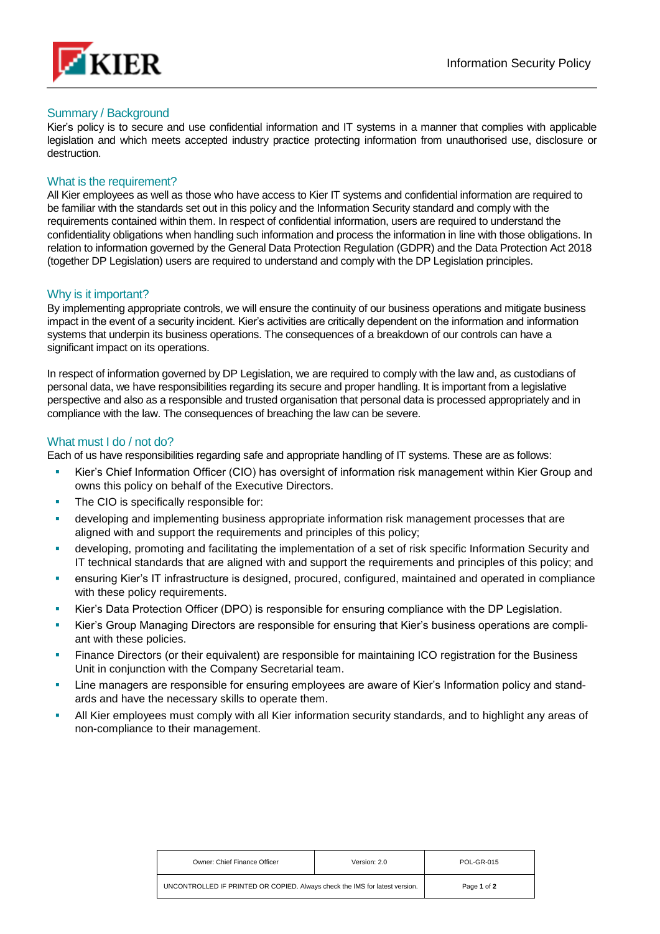

## Summary / Background

Kier's policy is to secure and use confidential information and IT systems in a manner that complies with applicable legislation and which meets accepted industry practice protecting information from unauthorised use, disclosure or destruction.

## What is the requirement?

All Kier employees as well as those who have access to Kier IT systems and confidential information are required to be familiar with the standards set out in this policy and the Information Security standard and comply with the requirements contained within them. In respect of confidential information, users are required to understand the confidentiality obligations when handling such information and process the information in line with those obligations. In relation to information governed by the General Data Protection Regulation (GDPR) and the Data Protection Act 2018 (together DP Legislation) users are required to understand and comply with the DP Legislation principles.

## Why is it important?

By implementing appropriate controls, we will ensure the continuity of our business operations and mitigate business impact in the event of a security incident. Kier's activities are critically dependent on the information and information systems that underpin its business operations. The consequences of a breakdown of our controls can have a significant impact on its operations.

In respect of information governed by DP Legislation, we are required to comply with the law and, as custodians of personal data, we have responsibilities regarding its secure and proper handling. It is important from a legislative perspective and also as a responsible and trusted organisation that personal data is processed appropriately and in compliance with the law. The consequences of breaching the law can be severe.

## What must I do / not do?

Each of us have responsibilities regarding safe and appropriate handling of IT systems. These are as follows:

- Kier's Chief Information Officer (CIO) has oversight of information risk management within Kier Group and owns this policy on behalf of the Executive Directors.
- **·** The CIO is specifically responsible for:
- **•** developing and implementing business appropriate information risk management processes that are aligned with and support the requirements and principles of this policy;
- **•** developing, promoting and facilitating the implementation of a set of risk specific Information Security and IT technical standards that are aligned with and support the requirements and principles of this policy; and
- ensuring Kier's IT infrastructure is designed, procured, configured, maintained and operated in compliance with these policy requirements.
- Kier's Data Protection Officer (DPO) is responsible for ensuring compliance with the DP Legislation.
- Kier's Group Managing Directors are responsible for ensuring that Kier's business operations are compliant with these policies.
- **•** Finance Directors (or their equivalent) are responsible for maintaining ICO registration for the Business Unit in conjunction with the Company [Secretarial team.](mailto:cosec@kier.co.uk)
- Line managers are responsible for ensuring employees are aware of Kier's Information policy and standards and have the necessary skills to operate them.
- All Kier employees must comply with all Kier information security standards, and to highlight any areas of non-compliance to their management.

| Owner: Chief Finance Officer                                                | Version: 2.0 | <b>POL-GR-015</b> |
|-----------------------------------------------------------------------------|--------------|-------------------|
| UNCONTROLLED IF PRINTED OR COPIED. Always check the IMS for latest version. |              | Page 1 of 2       |